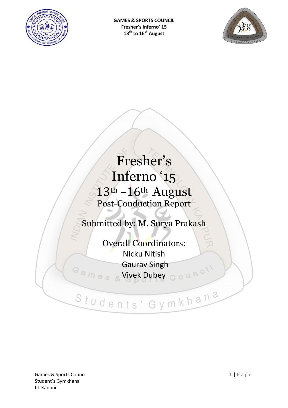



# Fresher's Inferno '15 13th –16th August Post-Conduction Report

# Submitted by: M. Surya Prakash

Overall Coordinators: Nicku Nitish Gaurav Singh Games Vivek Dubey Council

Students' Gymkhana

#### Games & Sports Council and the set of the set of the set of the set of the set of the set of the set of the set of the set of the set of the set of the set of the set of the set of the set of the set of the set of the set Student's Gymkhana IIT Kanpur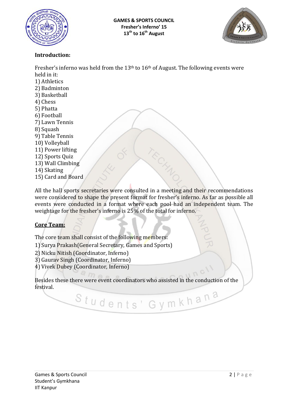



#### **Introduction:**

Fresher's inferno was held from the  $13<sup>th</sup>$  to  $16<sup>th</sup>$  of August. The following events were held in it: 1) Athletics 2) Badminton 3) Basketball 4) Chess 5) Phatta 6) Football 7) Lawn Tennis 8) Squash 9) Table Tennis 10) Volleyball 11) Power lifting 12) Sports Quiz 13) Wall Climbing 14) Skating 15) Card and Board All the hall sports secretaries were consulted in a meeting and their recommendations

were considered to shape the present format for fresher's inferno. As far as possible all events were conducted in a format where each pool had an independent team. The weightage for the fresher's inferno is 25% of the total for inferno.

#### **Core Team:**

The core team shall consist of the following members:

- 1) Surya Prakash(General Secretary, Games and Sports)
- 2) Nicku Nitish (Coordinator, Inferno)
- 3) Gaurav Singh (Coordinator, Inferno)
- 4) Vivek Dubey (Coordinator, Inferno)

Besides these there were event coordinators who assisted in the conduction of the festival.Students' Gymkhana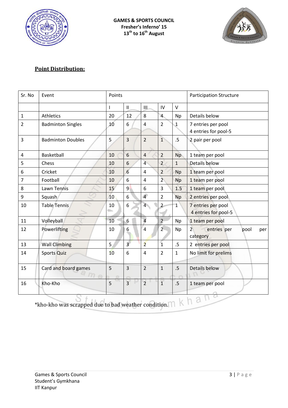



#### **Point Distribution:**

| Sr. No           | Event                           | Points          |                 |                |                | <b>Participation Structure</b> |                                                          |
|------------------|---------------------------------|-----------------|-----------------|----------------|----------------|--------------------------------|----------------------------------------------------------|
|                  |                                 | $\mathsf{I}$    | $\mathbf{H}$    | Щ              | IV             | $\vee$                         |                                                          |
| $\mathbf{1}$     | Athletics                       | 20              | 12              | 8              | $\overline{4}$ | <b>Np</b>                      | Details below                                            |
| $\overline{2}$   | <b>Badminton Singles</b>        | 10              | 6               | 4              | $\overline{2}$ | $\mathbf 1$                    | 7 entries per pool<br>4 entries for pool-5               |
| $\mathbf{3}$     | <b>Badminton Doubles</b>        | 5               | $\overline{3}$  | $\overline{2}$ | $\overline{1}$ | .5                             | 2 pair per pool                                          |
| 4                | Basketball                      | 10              | 6               | $\overline{4}$ | $\overline{2}$ | <b>Np</b>                      | 1 team per pool                                          |
| 5                | Chess                           | 10              | 6               | $\overline{4}$ | $\overline{2}$ | $\mathbf{1}$                   | Details below                                            |
| 6                | Cricket                         | 10              | $6\overline{6}$ | 4              | $\overline{2}$ | Np                             | 1 team per pool                                          |
| $\overline{7}$   | Football                        | 10              | 6               | 4              | $\overline{2}$ | <b>Np</b>                      | 1 team per pool                                          |
| 8                | Lawn Tennis                     | 15 <sup>′</sup> | $\overline{9}$  | 6              | $\overline{3}$ | 1.5                            | 1 team per pool                                          |
| $\boldsymbol{9}$ | Squash                          | 10              | 6               | $\overline{4}$ | $\overline{2}$ | <b>Np</b>                      | 2 entries per pool                                       |
| 10               | <b>Table Tennis</b>             | 10              | 6               | $\overline{4}$ | $\overline{2}$ | $\mathbf{1}$                   | 7 entries per pool<br>4 entries for pool-5               |
| 11               | Volleyball                      | 10              | 6               | $\overline{a}$ | $\overline{2}$ | Np                             | 1 team per pool                                          |
| 12               | Powerlifting                    | 10              | 6               | $\overline{4}$ | $\overline{2}$ | Np                             | 2 <sup>1</sup><br>entries per<br>pool<br>per<br>category |
| 13               | <b>Wall Climbing</b>            | 5.              | $\overline{3}$  | $\overline{2}$ | $\overline{1}$ | .5                             | 2 entries per pool                                       |
| 14               | <b>Sports Quiz</b>              | 10              | 6               | 4              | $\overline{2}$ | $\mathbf{1}$                   | No limit for prelims                                     |
| 15               | Card and board games<br>$\circ$ | 5               | $\overline{3}$  | $\overline{2}$ | $\mathbf{1}$   | .5                             | Details below                                            |
| 16               | Kho-Kho                         | 5               | $\overline{3}$  | $\overline{2}$ | $\overline{1}$ | .5                             | 1 team per pool                                          |

\*kho-kho was scrapped due to bad weather condition.  $\bigcap_{k}$  and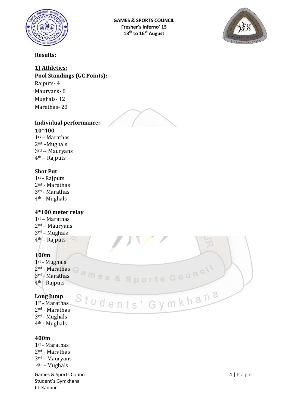

**GAMES & SPORTS COUNCIL Fresher's Inferno' 15 13th to 16th August** 



#### **Results:**

#### **1) Athletics:**

**Pool Standings (GC Points):-**

Rajputs- 4 Mauryans- 8 Mughals- 12 Marathas- 20



Students' Gymkhana

#### **Individual performance:-**

**10\*400** st – Marathas nd –Mughals rd -- Mauryans th – Rajputs

#### **Shot Put**

st - Rajputs nd - Marathas rd - Marathas th - Mughals

#### **4\*100 meter relay**

st – Marathas nd – Mauryans rd – Mughals th – Rajputs

#### **100m**

st - Mughals nd - Marathas rd - Marathas th - Rajputs

#### **Long Jump**

1st - Marathas 2nd - Marathas 3rd - Mughals

4th - Mughals

#### **400m**

st - Marathas nd - Marathas rd – Mauryans th - Mughals

Games & Sports Council and the set of the set of the set of the set of the set of the set of the set of the set of the set of the set of the set of the set of the set of the set of the set of the set of the set of the set Student's Gymkhana IIT Kanpur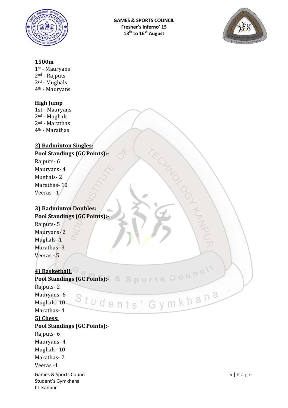



#### **1500m**

1st - Mauryans

2nd - Rajputs 3rd - Mughals

4th - Mauryans

#### **High Jump**

1st - Mauryans nd - Mughals nd - Marathas th - Marathas

#### **2) Badminton Singles: Pool Standings (GC Points):-**

Rajputs- 6 Mauryans- 4 Mughals- 2 Marathas- 10 Veeras - 1

#### **3) Badminton Doubles: Pool Standings (GC Points):-**

Rajputs- 5 Mauryans- 2 Mughals- 1 Marathas-3 Veeras -.5

#### **4) Basketball:**

**Pool Standings (GC Points):-** Rajputs- 2 Students' Gymkhana Mauryans- 6 Mughals- 10 Marathas- 4 **5) Chess: Pool Standings (GC Points):-** Rajputs- 6 Mauryans- 4 Mughals- 10 Marathas- 2 Veeras -1Games & Sports Council and the set of the set of the set of the set of the set of the set of the set of the set of the set of the set of the set of the set of the set of the set of the set of the set of the set of the set Student's Gymkhana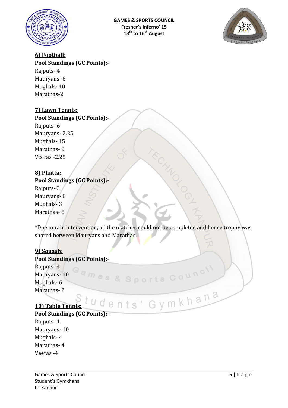



#### **6) Football:**

**Pool Standings (GC Points):-** Rajputs- 4 Mauryans- 6 Mughals- 10 Marathas-2

#### **7) Lawn Tennis:**

#### **Pool Standings (GC Points):-**

Rajputs- 6 Mauryans- 2.25 Mughals- 15 Marathas- 9 Veeras -2.25

#### **8) Phatta:**

#### **Pool Standings (GC Points):-**

Rajputs- 3 Mauryans- 8 Mughals- 3 Marathas- 8

\*Due to rain intervention, all the matches could not be completed and hence trophy was shared between Mauryans and Marathas.

ames & Sports Council

#### **9) Squash:**

#### **Pool Standings (GC Points):-**

Rajputs- 4 Mauryans- 10 Mughals- 6 Marathas- 2

# **10) Table Tennis:** tudents' Gymkhana

**Pool Standings (GC Points):-**

Rajputs- 1 Mauryans- 10 Mughals- 4 Marathas- 4 Veeras -4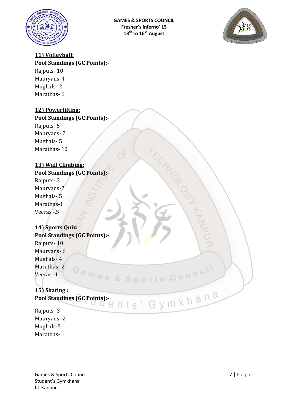



#### **11) Volleyball:**

**Pool Standings (GC Points):-** Rajputs- 10

Mauryans-4 Mughals- 2 Marathas- 6

#### **12) Powerlifting:**

#### **Pool Standings (GC Points):-**

Rajputs- 5 Mauryans- 2 Mughals- 5 Marathas- 10

#### **13) Wall Climbing:**

### **Pool Standings (GC Points):-**

Rajputs- 3 Mauryans-2 Mughals-5 Marathas-1 Veeras -.5

#### **14) Sports Quiz: Pool Standings (GC Points):-**

Rajputs- 10 Mauryans- 6 Mughals- 4 Marathas- 2 Games & Sports Council Veeras -1

## **15) Skating :**

**Pool Standings (GC Points):-**

Rajputs- 3 Mauryans- 2 Mughals-5 Marathas- 1

THANK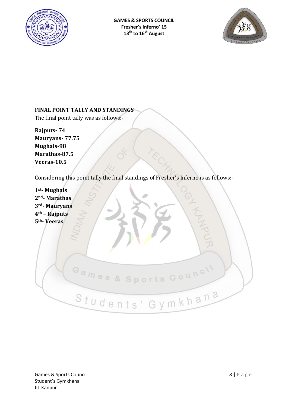



#### **FINAL POINT TALLY AND STANDINGS**

The final point tally was as follows:-

**Rajputs- 74 Mauryans- 77.75 Mughals-98 Marathas-87.5 Veeras-10.5**

Considering this point tally the final standings of Fresher's Inferno is as follows:-

| 1 <sup>st</sup> -Mughals<br>2 <sup>nd</sup> - Marathas<br>3rd- Mauryans |
|-------------------------------------------------------------------------|
| 4 <sup>th</sup> - Rajputs                                               |
| 5 <sup>th</sup> -Veeras                                                 |
| Games & Sports Council<br>Students' Gymkhana                            |
|                                                                         |